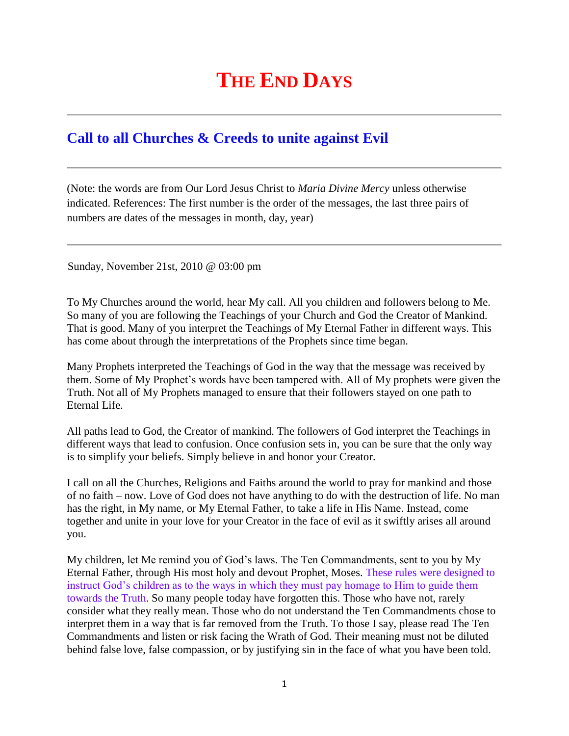## **THE END DAYS**

## **[Call to all Churches & Creeds to unite against Evil](http://www.thewarningsecondcoming.com/call-to-all-churches-creeds-to-unite-against-evil/)**

(Note: the words are from Our Lord Jesus Christ to *Maria Divine Mercy* unless otherwise indicated. References: The first number is the order of the messages, the last three pairs of numbers are dates of the messages in month, day, year)

Sunday, November 21st, 2010 @ 03:00 pm

To My Churches around the world, hear My call. All you children and followers belong to Me. So many of you are following the Teachings of your Church and God the Creator of Mankind. That is good. Many of you interpret the Teachings of My Eternal Father in different ways. This has come about through the interpretations of the Prophets since time began.

Many Prophets interpreted the Teachings of God in the way that the message was received by them. Some of My Prophet's words have been tampered with. All of My prophets were given the Truth. Not all of My Prophets managed to ensure that their followers stayed on one path to Eternal Life.

All paths lead to God, the Creator of mankind. The followers of God interpret the Teachings in different ways that lead to confusion. Once confusion sets in, you can be sure that the only way is to simplify your beliefs. Simply believe in and honor your Creator.

I call on all the Churches, Religions and Faiths around the world to pray for mankind and those of no faith – now. Love of God does not have anything to do with the destruction of life. No man has the right, in My name, or My Eternal Father, to take a life in His Name. Instead, come together and unite in your love for your Creator in the face of evil as it swiftly arises all around you.

My children, let Me remind you of God's laws. The Ten Commandments, sent to you by My Eternal Father, through His most holy and devout Prophet, Moses. These rules were designed to instruct God's children as to the ways in which they must pay homage to Him to guide them towards the Truth. So many people today have forgotten this. Those who have not, rarely consider what they really mean. Those who do not understand the Ten Commandments chose to interpret them in a way that is far removed from the Truth. To those I say, please read The Ten Commandments and listen or risk facing the Wrath of God. Their meaning must not be diluted behind false love, false compassion, or by justifying sin in the face of what you have been told.